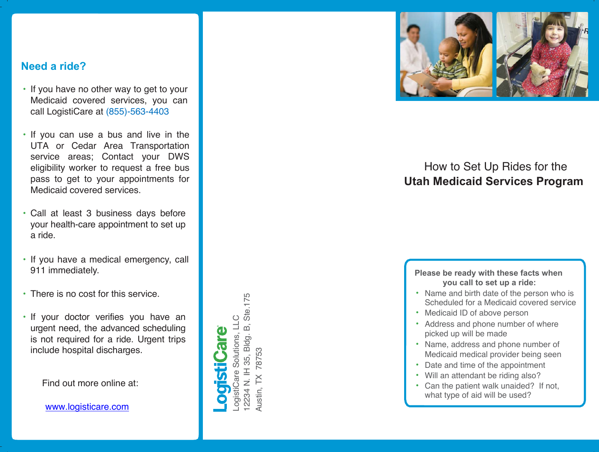### **Need a ride?**

- If you have no other way to get to your Medicaid covered services , you can call LogistiCare at (855) -563 -4403
- If you can use a bus and live in the UTA or Cedar Area Transportation service areas; Contact your DWS eligibility worker to request a free bus pass to get to your appointments for Medicaid covered services.
- Call at least 3 business days before your health-care appointment to set up a ride .
- If you have a medical emergency, call 911 immediatel y .
- There is no cost for this service.

• If your doctor verifies you have an u rgen t need, the advanced scheduling is not required for a ride. Urgent trips include hospital discha rges.

Find out more online at:

www.logisticare.com

Ste.175 12234 N. IH 35, Bldg. B, Ste.175  $\circ$ LogistiCare Solutions, LLC Solutions, LL  $\overline{B}$ 2234 N. IH 35, Bldg. 78753 Austin, TX 78753 ogistiCare  $\mathop{\mathop{\mathbf{X}}}\nolimits$ Austin,



## How to Set Up Rides for the **Utah Medicaid S e rvices P rogram**

#### **Please be ready with these facts when you call to set up a ride:**

- Name and birth date of the person who is Scheduled for a Medicaid covered service
- Medicaid ID of above person
- Address and phone number of where picked up will be made
- Name, address and phone number of Medicaid medical p rovider being seen
- Date and time of the appointment
- Will an attendant be riding also?
- Can the patient walk unaided? If not, what type of aid will be used?